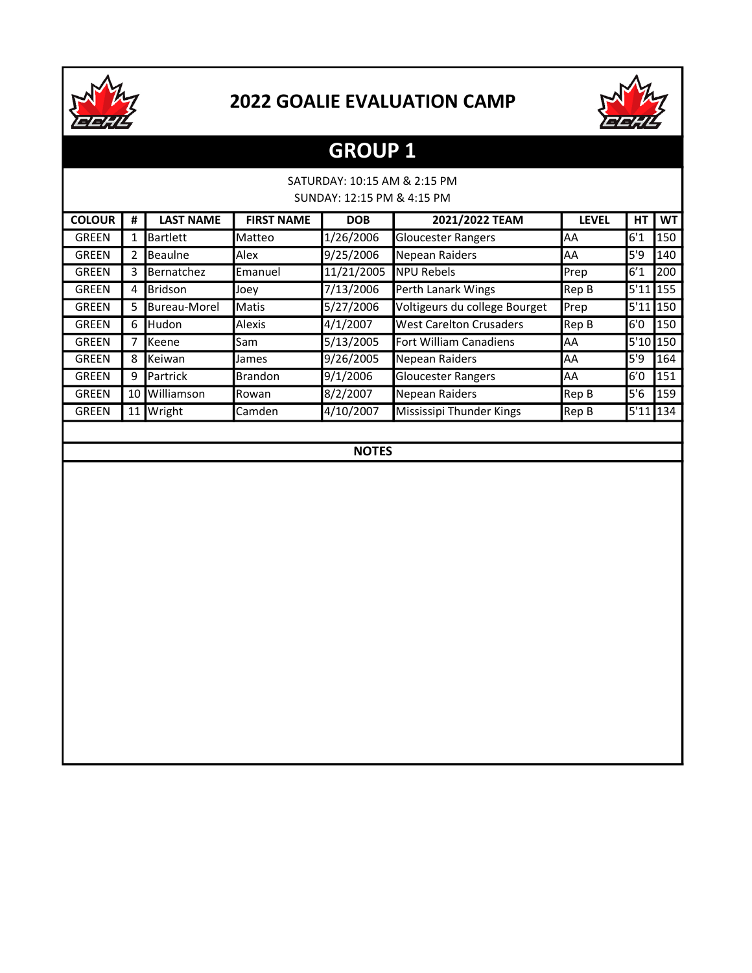



# GROUP 1

### SATURDAY: 10:15 AM & 2:15 PM SUNDAY: 12:15 PM & 4:15 PM

| <b>COLOUR</b> | #  | <b>LAST NAME</b>  | <b>FIRST NAME</b> | <b>DOB</b> | 2021/2022 TEAM                 | <b>LEVEL</b> | HТ       | <b>WT</b>   |
|---------------|----|-------------------|-------------------|------------|--------------------------------|--------------|----------|-------------|
| GREEN         | 1  | <b>Bartlett</b>   | Matteo            | 1/26/2006  | <b>Gloucester Rangers</b>      | AA           | 6'1      | 150         |
| GREEN         | 2  | <b>Beaulne</b>    | Alex              | 9/25/2006  | lNepean Raiders                | AA           | 5'9      | 140         |
| GREEN         | 3  | <b>Bernatchez</b> | Emanuel           | 11/21/2005 | <b>INPU Rebels</b>             | <b>Prep</b>  | 6'1      | 200         |
| GREEN         | 4  | lBridson          | Joev              | 7/13/2006  | Perth Lanark Wings             | Rep B        | 5'11     | <b>1155</b> |
| GREEN         | 5  | Bureau-Morel      | Matis             | 5/27/2006  | Voltigeurs du college Bourget  | Prep         | 5'11     | <b>150</b>  |
| GREEN         | 6  | <b>I</b> Hudon    | Alexis            | 4/1/2007   | <b>West Carelton Crusaders</b> | Rep B        | 6'0      | 150         |
| GREEN         | 7  | <b>I</b> Keene    | Sam               | 5/13/2005  | Fort William Canadiens         | AA           | 5'10 150 |             |
| GREEN         | 8  | <b>Keiwan</b>     | James             | 9/26/2005  | Nepean Raiders                 | AA           | 5'9      | 164         |
| GREEN         | 9  | <b>I</b> Partrick | <b>Brandon</b>    | 9/1/2006   | <b>Gloucester Rangers</b>      | AA           | 6′0      | 151         |
| GREEN         | 10 | Williamson        | Rowan             | 8/2/2007   | Nepean Raiders                 | Rep B        | 5'6      | 159         |
| <b>GREEN</b>  | 11 | <b>Wright</b>     | Camden            | 4/10/2007  | Mississipi Thunder Kings       | Rep B        | 5'11     | <b>134</b>  |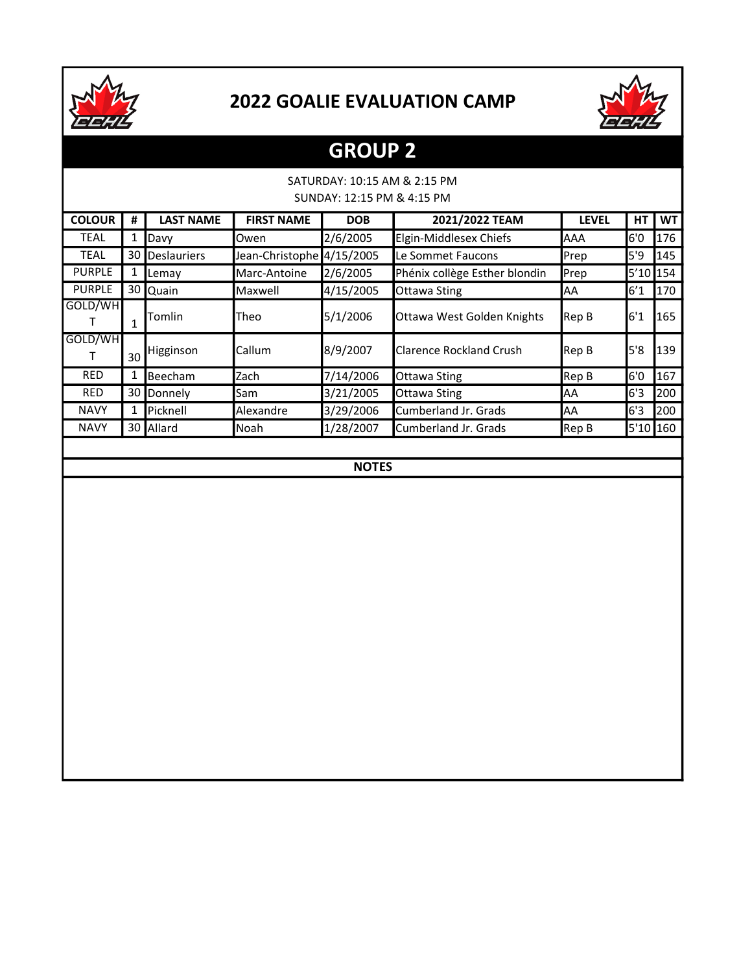



## GROUP 2

#### SATURDAY: 10:15 AM & 2:15 PM SUNDAY: 12:15 PM & 4:15 PM

| <b>COLOUR</b> | #            | <b>LAST NAME</b>   | <b>FIRST NAME</b>         | <b>DOB</b> | 2021/2022 TEAM                | <b>LEVEL</b> | НT       | <b>WT</b> |
|---------------|--------------|--------------------|---------------------------|------------|-------------------------------|--------------|----------|-----------|
| <b>TEAL</b>   | 1            | Davy               | Owen                      | 2/6/2005   | Elgin-Middlesex Chiefs        | AAA          | 6'0      | 176       |
| <b>TEAL</b>   | 30           | <b>Deslauriers</b> | Jean-Christophe 4/15/2005 |            | Le Sommet Faucons             | <b>Prep</b>  | 5'9      | 145       |
| <b>PURPLE</b> | 1            | <b>Lemay</b>       | Marc-Antoine              | 2/6/2005   | Phénix collège Esther blondin | Prep         | 5'10 154 |           |
| <b>PURPLE</b> |              | 30 Quain           | Maxwell                   | 4/15/2005  | Ottawa Sting                  | AA           | 6′1      | 170       |
| GOLD/WH       | $\mathbf{1}$ | <b>l</b> Tomlin    | Theo                      | 5/1/2006   | Ottawa West Golden Knights    | Rep B        | 6'1      | 165       |
| GOLD/WH       | 30           | Higginson          | Callum                    | 8/9/2007   | lClarence Rockland Crush      | Rep B        | 5'8      | 139       |
| <b>RED</b>    | 1            | <b>Beecham</b>     | Zach                      | 7/14/2006  | <b>Ottawa Sting</b>           | Rep B        | 6'0      | 167       |
| <b>RED</b>    | 30           | Donnely            | Sam                       | 3/21/2005  | <b>Ottawa Sting</b>           | AA           | 6'3      | 200       |
| <b>NAVY</b>   | 1            | <b>IPicknell</b>   | Alexandre                 | 3/29/2006  | Cumberland Jr. Grads          | AA           | 6'3      | 200       |
| <b>NAVY</b>   |              | 30 Allard          | Noah                      | 1/28/2007  | Cumberland Jr. Grads          | Rep B        | 5'10 160 |           |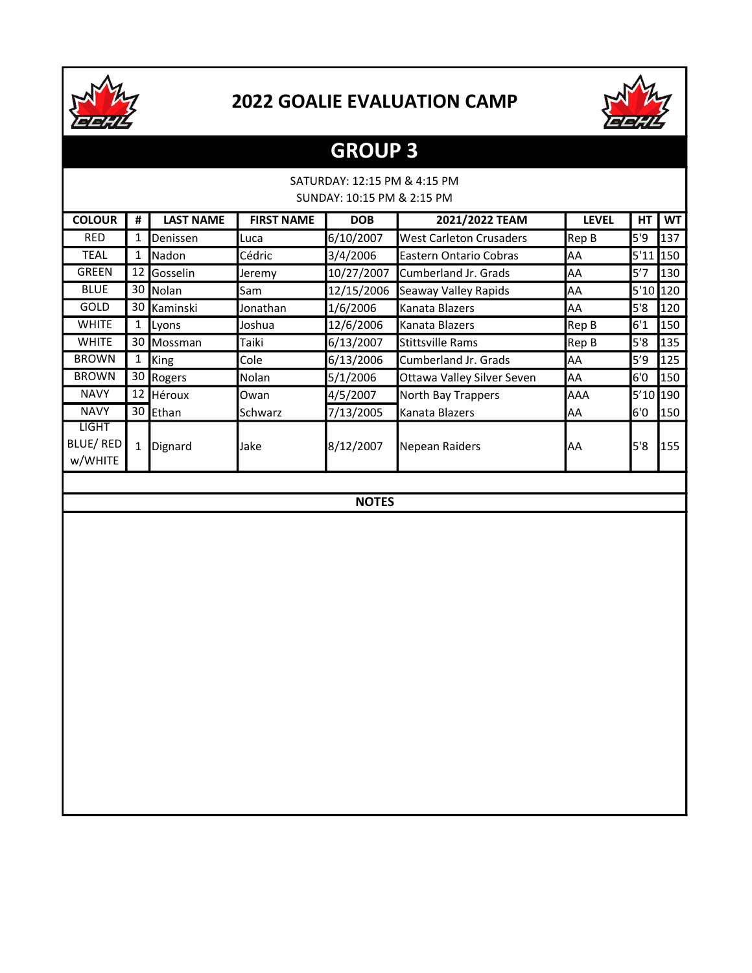



## GROUP 3

### SATURDAY: 12:15 PM & 4:15 PM SUNDAY: 10:15 PM & 2:15 PM

| <b>COLOUR</b>                       | #  | <b>LAST NAME</b> | <b>FIRST NAME</b> | <b>DOB</b> | 2021/2022 TEAM                 | <b>LEVEL</b> | HТ       | <b>WT</b> |
|-------------------------------------|----|------------------|-------------------|------------|--------------------------------|--------------|----------|-----------|
| <b>RED</b>                          | 1  | Denissen         | Luca              | 6/10/2007  | <b>West Carleton Crusaders</b> | Rep B        | 5'9      | 137       |
| TEAL                                | 1  | Nadon            | Cédric            | 3/4/2006   | <b>Eastern Ontario Cobras</b>  | AA           | 5'11     | 150       |
| <b>GREEN</b>                        |    | 12 Gosselin      | Jeremy            | 10/27/2007 | Cumberland Jr. Grads           | AA           | 5'7      | 130       |
| <b>BLUE</b>                         |    | 30 Nolan         | Sam               | 12/15/2006 | Seaway Valley Rapids           | AA           | 5'10 120 |           |
| <b>GOLD</b>                         |    | 30 Kaminski      | Jonathan          | 1/6/2006   | Kanata Blazers                 | <b>AA</b>    | 5'8      | 120       |
| <b>WHITE</b>                        | T. | Lyons            | Joshua            | 12/6/2006  | Kanata Blazers                 | Rep B        | 6'1      | 150       |
| <b>WHITE</b>                        |    | 30 Mossman       | Taiki             | 6/13/2007  | <b>Stittsville Rams</b>        | Rep B        | 5'8      | 135       |
| <b>BROWN</b>                        | Ŧ. | King             | Cole              | 6/13/2006  | Cumberland Jr. Grads           | AA           | 5'9      | 125       |
| <b>BROWN</b>                        |    | 30 Rogers        | Nolan             | 5/1/2006   | Ottawa Valley Silver Seven     | lAA          | 6'0      | 150       |
| <b>NAVY</b>                         |    | 12 Héroux        | lOwan             | 4/5/2007   | North Bay Trappers             | <b>AAA</b>   | 5'10 190 |           |
| <b>NAVY</b>                         |    | 30 Ethan         | <b>Schwarz</b>    | 7/13/2005  | Kanata Blazers                 | lAA          | 6'0      | 150       |
| <b>LIGHT</b><br>BLUE/RED<br>w/WHITE |    | Dignard          | Jake              | 8/12/2007  | <b>Nepean Raiders</b>          | lAA          | 5'8      | 155       |